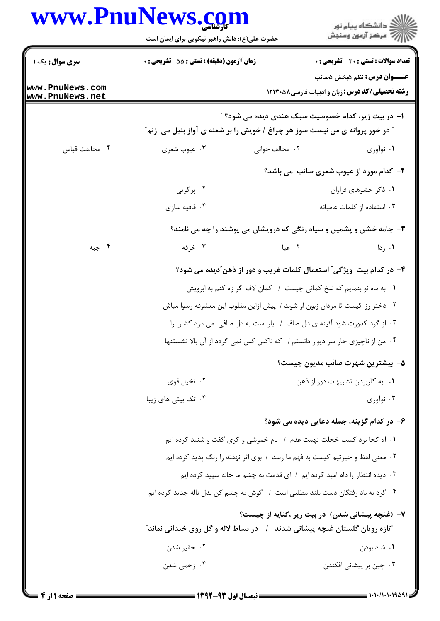|                                    | حضرت علی(ع): دانش راهبر نیکویی برای ایمان است                                                 |                | ڪ دانشڪاه پيا <sub>م</sub> نور<br>ر <i>7</i> مرڪز آزمون وسنڊش                                         |
|------------------------------------|-----------------------------------------------------------------------------------------------|----------------|-------------------------------------------------------------------------------------------------------|
| سری سوال: یک ۱                     | زمان آزمون (دقیقه) : تستی : 55 آتشریحی : 0                                                    |                | تعداد سوالات : تستي : 30 - تشريحي : 0                                                                 |
| www.PnuNews.com<br>www.PnuNews.net |                                                                                               |                | <b>عنـــوان درس:</b> نظم ۵بخش ۵صائب<br><b>رشته تحصیلی/کد درس:</b> زبان و ادبیات فارسی۸۵۲۱۳۰ <b>۱۲</b> |
|                                    | <b>" در خور پروانه ی من نیست سوز هر چراغ / خویش را بر شعله ی آواز بلبل می  زنم</b> "          |                | ا– در بیت زیر، کدام خصوصیت سبک هندی دیده می شود؟ "                                                    |
| ۰۴ مخالفت قياس                     | ۰۳ عيوب شعري                                                                                  | ۰۲ مخالف خوانی | ۰۱ نوآوري                                                                                             |
|                                    |                                                                                               |                | <b>۲</b> - کدام مورد از عیوب شعری صائب می باشد؟                                                       |
|                                    | ۰۲ پرگویی                                                                                     |                | ۰۱ ذکر حشوهای فراوان                                                                                  |
|                                    | ۰۴ قافیه سازی                                                                                 |                | ۰۳ استفاده از کلمات عامیانه                                                                           |
|                                    |                                                                                               |                | <b>۳</b> - جامه خشن و پشمین و سیاه رنگی که درویشان می پوشند را چه می نامند؟                           |
| ۰۴ جبه                             | ۰۳ خرقه                                                                                       | ۰۲ عبا         | ۰۱ ردا                                                                                                |
|                                    |                                                                                               |                | ۴– در کدام بیت ویژگی ؒ استعمال کلمات غریب و دور از ذهن ؒدیده می شود؟                                  |
|                                    |                                                                                               |                | ۰۱ به ماه نو بنمایم که شخ کمانی چیست ۱ کمان لاف اگر زه کنم به ابرویش                                  |
|                                    |                                                                                               |                | ۰۲ دختر رز کیست تا مردان زبون او شوند / پیش ازاین مغلوب این معشوقه رسوا مباش                          |
|                                    |                                                                                               |                | ۰۳ از گرد کدورت شود آئینه ی دل صاف ۱ بار است به دل صافی می درد کشان را                                |
|                                    |                                                                                               |                | ۰۴ من از ناچیزی خار سر دیوار دانستم / که ناکس کس نمی گردد از آن بالا نشستنها                          |
|                                    |                                                                                               |                | ۵–  بیشترین شهرت صائب مدیون چیست؟                                                                     |
|                                    | ۰۲ تخیل قوی                                                                                   |                | ۰۱ به کاربردن تشبیهات دور از ذهن                                                                      |
|                                    | ۰۴ تک بیتی های زیبا                                                                           |                | ۰۳ نوآوري                                                                                             |
|                                    | ۶– در کدام گزینه، جمله دعایی دیده می شود؟                                                     |                |                                                                                                       |
|                                    | ١. آه كجا برد كسب خجلت تهمت عدم ١ نام خموشي و كرى گفت و شنيد كرده ايم                         |                |                                                                                                       |
|                                    | ۰۲ معنی لفظ و حیرتیم کیست به فهم ما رسد ۱ بوی اثر نهفته را رنگ پدید کرده ایم                  |                |                                                                                                       |
|                                    | ۰۳ دیده انتظار را دام امید کرده ایم ۱ ای قدمت به چشم ما خانه سپید کرده ایم                    |                |                                                                                                       |
|                                    | ۰۴ گرد به باد رفتگان دست بلند مطلبی است ۱ گوش به چشم کن بدل ناله جدید کرده ایم                |                |                                                                                                       |
|                                    | <sup>"</sup> تازه رویان گلستان غنچه پیشانی شدند ٪ در بساط لاله و گل روی خندانی نماند <i>"</i> |                | ۷– (غنچه پیشانی شدن) در بیت زیر ،کنایه از چیست؟                                                       |
|                                    | ۰۲ حقیر شدن                                                                                   |                | ۰۱ شاد بودن                                                                                           |
|                                    | ۰۴ زخمی شدن                                                                                   |                | ۰۳ چین بر پیشانی افکندن                                                                               |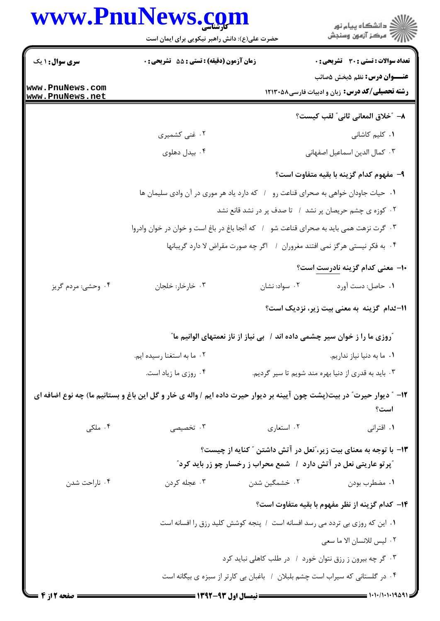| www.PnuNews.com                                                  |                                | ڪ دانشڪاه پيا <sub>م</sub> نور<br>∕7 مرڪز آزمون وسنڊش                                                                                                                                                                                                                                                                                                                                                                                                                                                                                                                                                                                                                                                                                                                                                                                                                                                                                                     |
|------------------------------------------------------------------|--------------------------------|-----------------------------------------------------------------------------------------------------------------------------------------------------------------------------------------------------------------------------------------------------------------------------------------------------------------------------------------------------------------------------------------------------------------------------------------------------------------------------------------------------------------------------------------------------------------------------------------------------------------------------------------------------------------------------------------------------------------------------------------------------------------------------------------------------------------------------------------------------------------------------------------------------------------------------------------------------------|
|                                                                  |                                | <b>تعداد سوالات : تستی : 30 ٪ تشریحی : 0</b>                                                                                                                                                                                                                                                                                                                                                                                                                                                                                                                                                                                                                                                                                                                                                                                                                                                                                                              |
|                                                                  |                                | <b>عنـــوان درس:</b> نظم ۵بخش ۵صائب<br><b>رشته تحصیلی/کد درس:</b> زبان و ادبیات فارسی۸۵۰ ۱۲۱۳۰                                                                                                                                                                                                                                                                                                                                                                                                                                                                                                                                                                                                                                                                                                                                                                                                                                                            |
|                                                                  |                                |                                                                                                                                                                                                                                                                                                                                                                                                                                                                                                                                                                                                                                                                                                                                                                                                                                                                                                                                                           |
|                                                                  |                                | ٨− ″خلاق المعاني ثاني″ لقب كيست؟<br>۰۱ کلیم کاشانی                                                                                                                                                                                                                                                                                                                                                                                                                                                                                                                                                                                                                                                                                                                                                                                                                                                                                                        |
|                                                                  |                                | ٠٣ كمال الدين اسماعيل اصفهاني                                                                                                                                                                                                                                                                                                                                                                                                                                                                                                                                                                                                                                                                                                                                                                                                                                                                                                                             |
|                                                                  |                                | ۹– مفهوم کدام گزینه با بقیه متفاوت است؟                                                                                                                                                                                                                                                                                                                                                                                                                                                                                                                                                                                                                                                                                                                                                                                                                                                                                                                   |
|                                                                  |                                |                                                                                                                                                                                                                                                                                                                                                                                                                                                                                                                                                                                                                                                                                                                                                                                                                                                                                                                                                           |
|                                                                  |                                |                                                                                                                                                                                                                                                                                                                                                                                                                                                                                                                                                                                                                                                                                                                                                                                                                                                                                                                                                           |
|                                                                  |                                |                                                                                                                                                                                                                                                                                                                                                                                                                                                                                                                                                                                                                                                                                                                                                                                                                                                                                                                                                           |
|                                                                  |                                |                                                                                                                                                                                                                                                                                                                                                                                                                                                                                                                                                                                                                                                                                                                                                                                                                                                                                                                                                           |
|                                                                  |                                | +ا– معنی کدام گزینه نادرست است؟                                                                                                                                                                                                                                                                                                                                                                                                                                                                                                                                                                                                                                                                                                                                                                                                                                                                                                                           |
| ۰۳ خارخار: خلجان                                                 | ۰۲ سواد: نشان                  | ۰۱ حاصل: دست آورد                                                                                                                                                                                                                                                                                                                                                                                                                                                                                                                                                                                                                                                                                                                                                                                                                                                                                                                                         |
|                                                                  |                                | 11-ئدام گزینه به معنی بیت زیر، نزدیک است؟                                                                                                                                                                                                                                                                                                                                                                                                                                                                                                                                                                                                                                                                                                                                                                                                                                                                                                                 |
|                                                                  |                                |                                                                                                                                                                                                                                                                                                                                                                                                                                                                                                                                                                                                                                                                                                                                                                                                                                                                                                                                                           |
| ۰۲ ما به استغنا رسیده ایم.                                       |                                | ۰۱ ما به دنیا نیاز نداریم.                                                                                                                                                                                                                                                                                                                                                                                                                                                                                                                                                                                                                                                                                                                                                                                                                                                                                                                                |
| ۰۴ روزی ما زیاد است.                                             |                                | ۰۳ باید به قدری از دنیا بهره مند شویم تا سیر گردیم.                                                                                                                                                                                                                                                                                                                                                                                                                                                                                                                                                                                                                                                                                                                                                                                                                                                                                                       |
|                                                                  |                                | است؟                                                                                                                                                                                                                                                                                                                                                                                                                                                                                                                                                                                                                                                                                                                                                                                                                                                                                                                                                      |
| ۰۳ تخصیصی                                                        | ۰۲ استعاری                     | ۰۱ اقترانی                                                                                                                                                                                                                                                                                                                                                                                                                                                                                                                                                                                                                                                                                                                                                                                                                                                                                                                                                |
| ۱۳- با توجه به معنای بیت زیر، ّنعل در آتش داشتن ″ کنایه از چیست؟ |                                |                                                                                                                                                                                                                                                                                                                                                                                                                                                                                                                                                                                                                                                                                                                                                                                                                                                                                                                                                           |
|                                                                  |                                |                                                                                                                                                                                                                                                                                                                                                                                                                                                                                                                                                                                                                                                                                                                                                                                                                                                                                                                                                           |
| ۰۳ عجله کردن                                                     |                                | ٠١. مضطرب بودن                                                                                                                                                                                                                                                                                                                                                                                                                                                                                                                                                                                                                                                                                                                                                                                                                                                                                                                                            |
|                                                                  |                                | ۱۴– کدام گزینه از نظر مفهوم با بقیه متفاوت است؟                                                                                                                                                                                                                                                                                                                                                                                                                                                                                                                                                                                                                                                                                                                                                                                                                                                                                                           |
|                                                                  |                                |                                                                                                                                                                                                                                                                                                                                                                                                                                                                                                                                                                                                                                                                                                                                                                                                                                                                                                                                                           |
|                                                                  |                                | ٢. ليس للانسان الا ما سعى                                                                                                                                                                                                                                                                                                                                                                                                                                                                                                                                                                                                                                                                                                                                                                                                                                                                                                                                 |
|                                                                  |                                |                                                                                                                                                                                                                                                                                                                                                                                                                                                                                                                                                                                                                                                                                                                                                                                                                                                                                                                                                           |
|                                                                  | ۰۲ غنی کشمیری<br>۰۴ بیدل دهلوی | حضرت علی(ع): دانش راهبر نیکویی برای ایمان است<br><b>زمان آزمون (دقیقه) : تستی : 55 تشریحی : 0</b><br>1. حیات جاودان خواهی به صحرای قناعت رو 1 که دارد یاد هر موری در آن وادی سلیمان ها<br>۰۲ کوزه ی چشم حریصان پر نشد ۱ تا صدف پر در نشد قانع نشد<br>۰۳ گرت نزهت همی باید به صحرای قناعت شو ۱ که آنجا باغ در باغ است و خوان در خوان وادروا<br>۰۴ به فکر نیستی هرگز نمی افتند مغروران ۱ اگر چه صورت مقراض لا دارد گریبانها<br>روزی ما را ز خوان سیر چشمی داده اند / ۖ بی نیاز از ناز نعمتهای الوانیم ما ٗ<br>۱۲– ″ دیوار حیرت″ در بیت(پشت چون آیینه بر دیوار حیرت داده ایم / واله ی خار و گل این باغ و بستانیم ما) چه نوع اضافه ای<br><b>ًپرتو عاریتی نعل در آتش دارد ۱ شمع محراب ز رخسار چو زر باید کرد ً</b><br>۰۲ خشمگین شدن<br>١. اين كه روزي بي تردد مي رسد افسانه است ١ پنجه كوشش كليد رزق را افسانه است<br>۰۳ گر چه بیرون ز رزق نتوان خورد / در طلب کاهلی نباید کرد<br>۰۴ در گلستانی که سیراب است حشم بلیلان / باغیان بی کارتر از سیزه ی بیگانه است |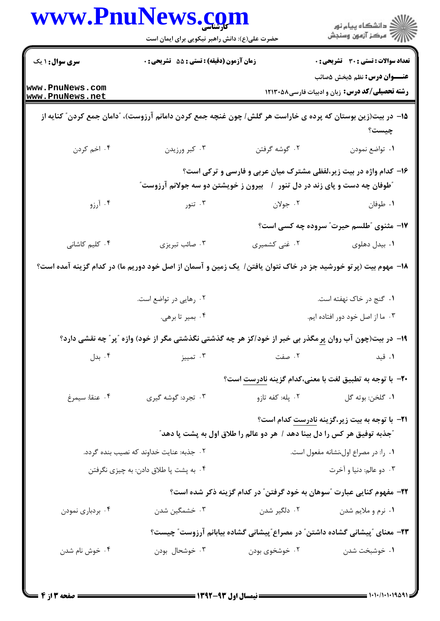|                                    | www.PnuNews.com<br>حضرت علی(ع): دانش راهبر نیکویی برای ایمان است                                                                                            |                   | ِ<br>∭ دانشڪاه پيام نور<br>∭ مرڪز آزمون وسنڊش                                                                                                      |  |
|------------------------------------|-------------------------------------------------------------------------------------------------------------------------------------------------------------|-------------------|----------------------------------------------------------------------------------------------------------------------------------------------------|--|
| <b>سری سوال : ۱ یک</b>             | <b>زمان آزمون (دقیقه) : تستی : 55 تشریحی : 0</b>                                                                                                            |                   | <b>تعداد سوالات : تستی : 30 ٪ تشریحی : 0</b>                                                                                                       |  |
| www.PnuNews.com<br>www.PnuNews.net |                                                                                                                                                             |                   | <b>عنـــوان درس:</b> نظم ۵بخش ۵صائب<br>رشته تحصیلی/کد درس: زبان و ادبیات فارسی۱۲۱۳۰۵۸                                                              |  |
|                                    | ۱۵– در بیت(زین بوستان که پرده ی خاراست هر گلش/ چون غنچه جمع کردن دامانم آرزوست)، "دامان جمع کردن" کنایه از                                                  |                   | چیست؟                                                                                                                                              |  |
| ۰۴ اخم کردن                        | ۰۳ کبر ورزیدن                                                                                                                                               | ۰۲ گوشه گرفتن     | ٠١ تواضع نمودن                                                                                                                                     |  |
|                                    | <b>"طوفان چه دست و پای زند در دل تنور ۱ گبیرون ز خویشتن دو سه جولانم آرزوست</b> "                                                                           |                   | ۱۶- کدام واژه در بیت زیر،لفظی مشترک میان عربی و فارسی و ترکی است؟                                                                                  |  |
| ۰۴ آرزو                            | ۰۳ تنور                                                                                                                                                     | ۰۲ جولان          | ٠١ طوفان                                                                                                                                           |  |
|                                    |                                                                                                                                                             |                   | ۱۷- مثنوی "طلسم حیرت" سروده چه کسی است؟                                                                                                            |  |
| ۰۴ کلیم کاشانی                     | ۰۳ صائب تبریزی                                                                                                                                              | ۰۲ غنی کشمیری     | ۰۱ بیدل دهلوی                                                                                                                                      |  |
|                                    | ۱۸– مهوم بیت (پرتو خورشید جز در خاک نتوان یافتن/ یک زمین و آسمان از اصل خود دوریم ما) در کدام گزینه آمده است؟<br>۰۲ رهایی در تواضع است.<br>۰۴ بمیر تا برهی. |                   | ۰۱ گنج در خاک نهفته است.<br>۰۳ ما از اصل خود دور افتاده ایم.                                                                                       |  |
|                                    | ۱۹- در بیت(چون آب روان پر مگذر بی خبر از خود/کز هر چه گذشتی نگذشتی مگر از خود) وازه ″پر″ چه نقشی دارد؟                                                      |                   |                                                                                                                                                    |  |
| ۰۴ بدل                             | ۰۳ تمییز                                                                                                                                                    | ۰۲ صفت            | ۰۱ قید                                                                                                                                             |  |
|                                    |                                                                                                                                                             |                   | +٢- با توجه به تطبيق لغت با معنى،كدام گزينه نادرست است؟                                                                                            |  |
| ۰۴ عنقا: سيمرغ                     | ۰۳ تجرد: گوشه گیری                                                                                                                                          | ۲.  پله: کفه تازو | ٠١ گلخن: بوته گل                                                                                                                                   |  |
|                                    |                                                                                                                                                             |                   | <b>۲۱</b> - با توجه به بیت زیر،گزینه نادرست کدام است؟<br><i>ً ج</i> ذبه توفیق هر کس را دل بینا دهد / هر دو عالم را طلاق اول به پشت پا دهد <i>ً</i> |  |
|                                    | ۲. جذبه: عنایت خداوند که نصیب بنده گردد.                                                                                                                    |                   | ٠١ را: در مصراع اول،نشانه مفعول است.                                                                                                               |  |
|                                    | ۰۴ به پشت پا طلاق دادن: به چیزی نگرفتن                                                                                                                      |                   | ۰۳ دو عالم: دنيا و آخرت                                                                                                                            |  |
|                                    |                                                                                                                                                             |                   | ۲۲- مفهوم کنایی عبارت "سوهان به خود گرفتن" در کدام گزینه ذکر شده است؟                                                                              |  |
| ۰۴ بردباري نمودن                   | ۰۳ خشمگین شدن                                                                                                                                               | ۲. دلگیر شدن      | ۰۱ نرم و ملايم شدن                                                                                                                                 |  |
|                                    |                                                                                                                                                             |                   | ۲۳– معنای ″پیشانی گشاده داشتن″ در مصراع″پیشانی گشاده بیابانم آرزوست″ چیست؟                                                                         |  |
| ۰۴ خوش نام شدن                     | ۰۳ خوشحال بودن                                                                                                                                              | ۰۲ خوشخوی بودن    | ٠١ خوشبخت شدن                                                                                                                                      |  |

= ۱۰۱۰/۱۰۱۰۱۹۵۹۱